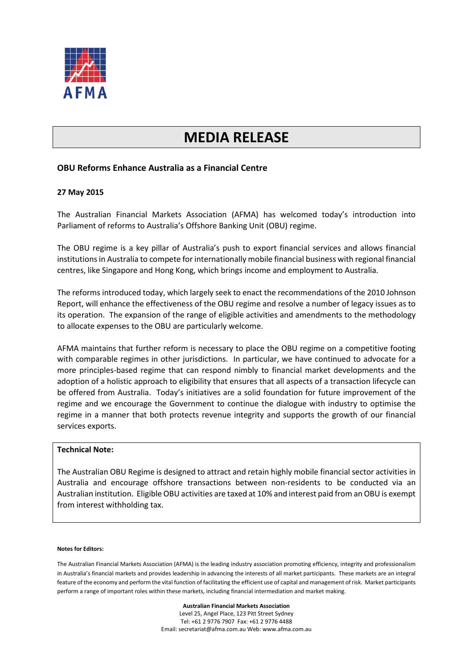

# **MEDIA RELEASE**

## **OBU Reforms Enhance Australia as a Financial Centre**

#### **27 May 2015**

The Australian Financial Markets Association (AFMA) has welcomed today's introduction into Parliament of reforms to Australia's Offshore Banking Unit (OBU) regime.

The OBU regime is a key pillar of Australia's push to export financial services and allows financial institutions in Australia to compete for internationally mobile financial business with regional financial centres, like Singapore and Hong Kong, which brings income and employment to Australia.

The reforms introduced today, which largely seek to enact the recommendations of the 2010 Johnson Report, will enhance the effectiveness of the OBU regime and resolve a number of legacy issues as to its operation. The expansion of the range of eligible activities and amendments to the methodology to allocate expenses to the OBU are particularly welcome.

AFMA maintains that further reform is necessary to place the OBU regime on a competitive footing with comparable regimes in other jurisdictions. In particular, we have continued to advocate for a more principles-based regime that can respond nimbly to financial market developments and the adoption of a holistic approach to eligibility that ensures that all aspects of a transaction lifecycle can be offered from Australia. Today's initiatives are a solid foundation for future improvement of the regime and we encourage the Government to continue the dialogue with industry to optimise the regime in a manner that both protects revenue integrity and supports the growth of our financial services exports.

### **Technical Note:**

The Australian OBU Regime is designed to attract and retain highly mobile financial sector activities in Australia and encourage offshore transactions between non-residents to be conducted via an Australian institution. Eligible OBU activities are taxed at 10% and interest paid from an OBU is exempt from interest withholding tax.

#### **Notes for Editors:**

The Australian Financial Markets Association (AFMA) is the leading industry association promoting efficiency, integrity and professionalism in Australia's financial markets and provides leadership in advancing the interests of all market participants. These markets are an integral feature of the economy and perform the vital function of facilitating the efficient use of capital and management of risk. Market participants perform a range of important roles within these markets, including financial intermediation and market making.

> **Australian Financial Markets Association** Level 25, Angel Place, 123 Pitt Street Sydney Tel: +61 2 9776 7907 Fax: +61 2 9776 4488 Email: secretariat@afma.com.au Web: www.afma.com.au